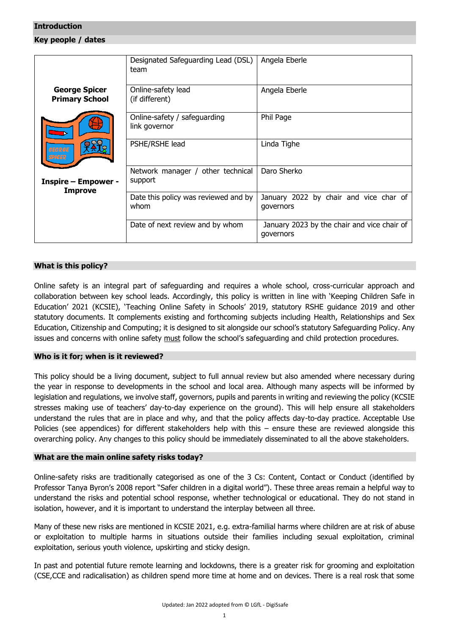### <span id="page-0-0"></span>**Introduction**

<span id="page-0-1"></span>**Key people / dates**

|                                               | Designated Safeguarding Lead (DSL)<br>team    | Angela Eberle                                            |
|-----------------------------------------------|-----------------------------------------------|----------------------------------------------------------|
| <b>George Spicer</b><br><b>Primary School</b> | Online-safety lead<br>(if different)          | Angela Eberle                                            |
|                                               | Online-safety / safeguarding<br>link governor | Phil Page                                                |
| <b>GEORGE</b>                                 | PSHE/RSHE lead                                | Linda Tighe                                              |
| <b>Inspire - Empower -</b><br><b>Improve</b>  | Network manager / other technical<br>support  | Daro Sherko                                              |
|                                               | Date this policy was reviewed and by<br>whom  | January 2022 by chair and vice char of<br>governors      |
|                                               | Date of next review and by whom               | January 2023 by the chair and vice chair of<br>governors |

## <span id="page-0-2"></span>**What is this policy?**

Online safety is an integral part of safeguarding and requires a whole school, cross-curricular approach and collaboration between key school leads. Accordingly, this policy is written in line with 'Keeping Children Safe in Education' 2021 (KCSIE), 'Teaching Online Safety in Schools' 2019, statutory RSHE guidance 2019 and other statutory documents. It complements existing and forthcoming subjects including Health, Relationships and Sex Education, Citizenship and Computing; it is designed to sit alongside our school's statutory Safeguarding Policy. Any issues and concerns with online safety must follow the school's safeguarding and child protection procedures.

## <span id="page-0-3"></span>**Who is it for; when is it reviewed?**

This policy should be a living document, subject to full annual review but also amended where necessary during the year in response to developments in the school and local area. Although many aspects will be informed by legislation and regulations, we involve staff, governors, pupils and parents in writing and reviewing the policy (KCSIE stresses making use of teachers' day-to-day experience on the ground). This will help ensure all stakeholders understand the rules that are in place and why, and that the policy affects day-to-day practice. Acceptable Use Policies (see appendices) for different stakeholders help with this – ensure these are reviewed alongside this overarching policy. Any changes to this policy should be immediately disseminated to all the above stakeholders.

## <span id="page-0-4"></span>**What are the main online safety risks today?**

Online-safety risks are traditionally categorised as one of the 3 Cs: Content, Contact or Conduct (identified by Professor Tanya Byron's 2008 report "Safer children in a digital world"). These three areas remain a helpful way to understand the risks and potential school response, whether technological or educational. They do not stand in isolation, however, and it is important to understand the interplay between all three.

Many of these new risks are mentioned in KCSIE 2021, e.g. extra-familial harms where children are at risk of abuse or exploitation to multiple harms in situations outside their families including sexual exploitation, criminal exploitation, serious youth violence, upskirting and sticky design.

In past and potential future remote learning and lockdowns, there is a greater risk for grooming and exploitation (CSE,CCE and radicalisation) as children spend more time at home and on devices. There is a real rosk that some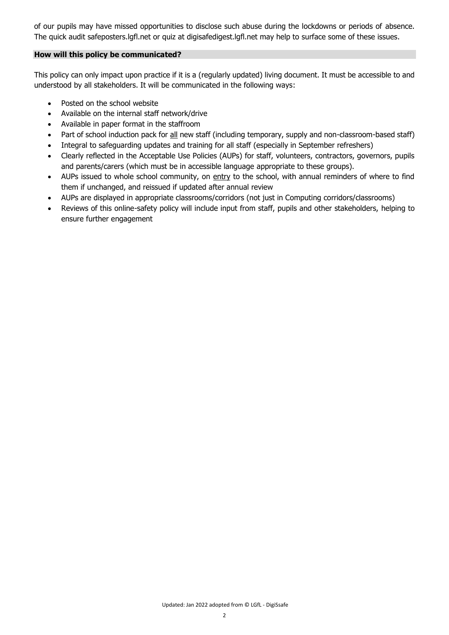of our pupils may have missed opportunities to disclose such abuse during the lockdowns or periods of absence. The quick audit safeposters.lgfl.net or quiz at digisafedigest.lgfl.net may help to surface some of these issues.

## <span id="page-1-0"></span>**How will this policy be communicated?**

This policy can only impact upon practice if it is a (regularly updated) living document. It must be accessible to and understood by all stakeholders. It will be communicated in the following ways:

- Posted on the school website
- Available on the internal staff network/drive
- Available in paper format in the staffroom
- Part of school induction pack for all new staff (including temporary, supply and non-classroom-based staff)
- Integral to safeguarding updates and training for all staff (especially in September refreshers)
- Clearly reflected in the Acceptable Use Policies (AUPs) for staff, volunteers, contractors, governors, pupils and parents/carers (which must be in accessible language appropriate to these groups).
- AUPs issued to whole school community, on entry to the school, with annual reminders of where to find them if unchanged, and reissued if updated after annual review
- AUPs are displayed in appropriate classrooms/corridors (not just in Computing corridors/classrooms)
- Reviews of this online-safety policy will include input from staff, pupils and other stakeholders, helping to ensure further engagement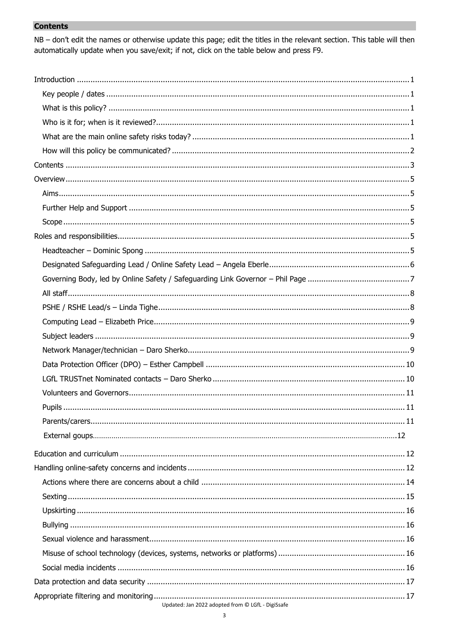# <span id="page-2-0"></span>**Contents**

NB - don't edit the names or otherwise update this page; edit the titles in the relevant section. This table will then automatically update when you save/exit; if not, click on the table below and press F9.

| Updated: Jan 2022 adopted from @ LGfL - DigiSsafe |
|---------------------------------------------------|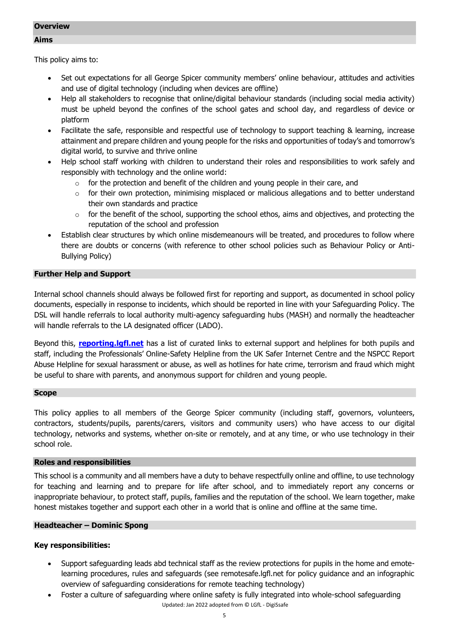### <span id="page-4-1"></span><span id="page-4-0"></span>**Overview**

This policy aims to:

- Set out expectations for all George Spicer community members' online behaviour, attitudes and activities and use of digital technology (including when devices are offline)
- Help all stakeholders to recognise that online/digital behaviour standards (including social media activity) must be upheld beyond the confines of the school gates and school day, and regardless of device or platform
- Facilitate the safe, responsible and respectful use of technology to support teaching & learning, increase attainment and prepare children and young people for the risks and opportunities of today's and tomorrow's digital world, to survive and thrive online
- Help school staff working with children to understand their roles and responsibilities to work safely and responsibly with technology and the online world:
	- $\circ$  for the protection and benefit of the children and young people in their care, and
	- $\circ$  for their own protection, minimising misplaced or malicious allegations and to better understand their own standards and practice
	- $\circ$  for the benefit of the school, supporting the school ethos, aims and objectives, and protecting the reputation of the school and profession
- Establish clear structures by which online misdemeanours will be treated, and procedures to follow where there are doubts or concerns (with reference to other school policies such as Behaviour Policy or Anti-Bullying Policy)

# <span id="page-4-2"></span>**Further Help and Support**

Internal school channels should always be followed first for reporting and support, as documented in school policy documents, especially in response to incidents, which should be reported in line with your Safeguarding Policy. The DSL will handle referrals to local authority multi-agency safeguarding hubs (MASH) and normally the headteacher will handle referrals to the LA designated officer (LADO).

Beyond this, **[reporting.lgfl.net](https://reporting.lgfl.net/)** has a list of curated links to external support and helplines for both pupils and staff, including the Professionals' Online-Safety Helpline from the UK Safer Internet Centre and the NSPCC Report Abuse Helpline for sexual harassment or abuse, as well as hotlines for hate crime, terrorism and fraud which might be useful to share with parents, and anonymous support for children and young people.

## <span id="page-4-3"></span>**Scope**

This policy applies to all members of the George Spicer community (including staff, governors, volunteers, contractors, students/pupils, parents/carers, visitors and community users) who have access to our digital technology, networks and systems, whether on-site or remotely, and at any time, or who use technology in their school role.

## <span id="page-4-4"></span>**Roles and responsibilities**

This school is a community and all members have a duty to behave respectfully online and offline, to use technology for teaching and learning and to prepare for life after school, and to immediately report any concerns or inappropriate behaviour, to protect staff, pupils, families and the reputation of the school. We learn together, make honest mistakes together and support each other in a world that is online and offline at the same time.

## <span id="page-4-5"></span>**Headteacher – Dominic Spong**

- Support safeguarding leads abd technical staff as the review protections for pupils in the home and emotelearning procedures, rules and safeguards (see remotesafe.lgfl.net for policy guidance and an infographic overview of safeguarding considerations for remote teaching technology)
- Updated: Jan 2022 adopted from © LGfL DigiSsafe Foster a culture of safeguarding where online safety is fully integrated into whole-school safeguarding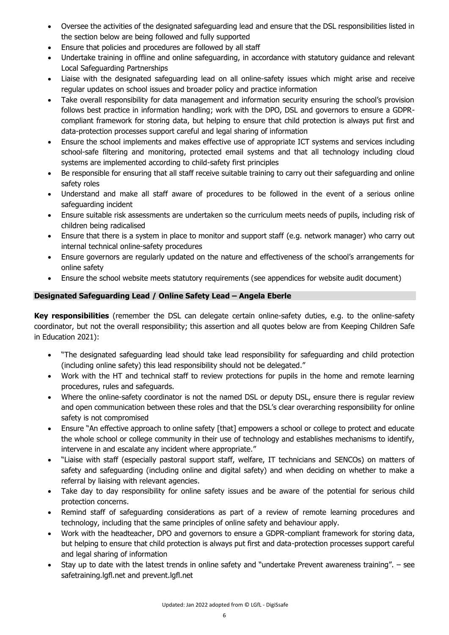- Oversee the activities of the designated safeguarding lead and ensure that the DSL responsibilities listed in the section below are being followed and fully supported
- Ensure that policies and procedures are followed by all staff
- Undertake training in offline and online safeguarding, in accordance with statutory guidance and relevant Local Safeguarding Partnerships
- Liaise with the designated safeguarding lead on all online-safety issues which might arise and receive regular updates on school issues and broader policy and practice information
- Take overall responsibility for data management and information security ensuring the school's provision follows best practice in information handling; work with the DPO, DSL and governors to ensure a GDPRcompliant framework for storing data, but helping to ensure that child protection is always put first and data-protection processes support careful and legal sharing of information
- Ensure the school implements and makes effective use of appropriate ICT systems and services including school-safe filtering and monitoring, protected email systems and that all technology including cloud systems are implemented according to child-safety first principles
- Be responsible for ensuring that all staff receive suitable training to carry out their safeguarding and online safety roles
- Understand and make all staff aware of procedures to be followed in the event of a serious online safeguarding incident
- Ensure suitable risk assessments are undertaken so the curriculum meets needs of pupils, including risk of children being radicalised
- Ensure that there is a system in place to monitor and support staff (e.g. network manager) who carry out internal technical online-safety procedures
- Ensure governors are regularly updated on the nature and effectiveness of the school's arrangements for online safety
- Ensure the school website meets statutory requirements (see appendices for website audit document)

# <span id="page-5-0"></span>**Designated Safeguarding Lead / Online Safety Lead – Angela Eberle**

**Key responsibilities** (remember the DSL can delegate certain online-safety duties, e.g. to the online-safety coordinator, but not the overall responsibility; this assertion and all quotes below are from Keeping Children Safe in Education 2021):

- "The designated safeguarding lead should take lead responsibility for safeguarding and child protection (including online safety) this lead responsibility should not be delegated."
- Work with the HT and technical staff to review protections for pupils in the home and remote learning procedures, rules and safeguards.
- Where the online-safety coordinator is not the named DSL or deputy DSL, ensure there is regular review and open communication between these roles and that the DSL's clear overarching responsibility for online safety is not compromised
- Ensure "An effective approach to online safety [that] empowers a school or college to protect and educate the whole school or college community in their use of technology and establishes mechanisms to identify, intervene in and escalate any incident where appropriate."
- "Liaise with staff (especially pastoral support staff, welfare, IT technicians and SENCOs) on matters of safety and safeguarding (including online and digital safety) and when deciding on whether to make a referral by liaising with relevant agencies.
- Take day to day responsibility for online safety issues and be aware of the potential for serious child protection concerns.
- Remind staff of safeguarding considerations as part of a review of remote learning procedures and technology, including that the same principles of online safety and behaviour apply.
- Work with the headteacher, DPO and governors to ensure a GDPR-compliant framework for storing data, but helping to ensure that child protection is always put first and data-protection processes support careful and legal sharing of information
- Stay up to date with the latest trends in online safety and "undertake Prevent awareness training". see safetraining.lgfl.net and prevent.lgfl.net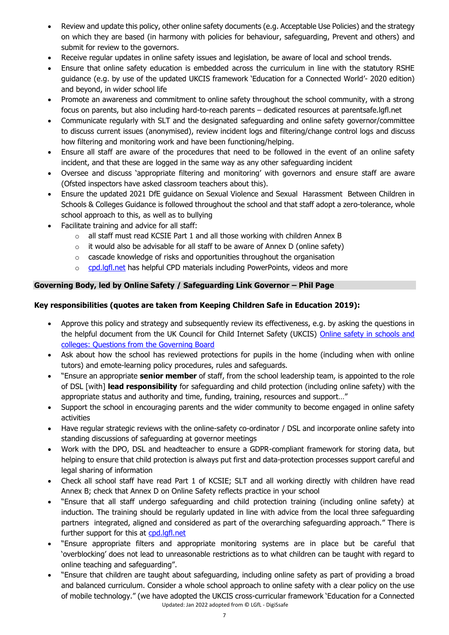- Review and update this policy, other online safety documents (e.g. Acceptable Use Policies) and the strategy on which they are based (in harmony with policies for behaviour, safeguarding, Prevent and others) and submit for review to the governors.
- Receive regular updates in online safety issues and legislation, be aware of local and school trends.
- Ensure that online safety education is embedded across the curriculum in line with the statutory RSHE guidance (e.g. by use of the updated UKCIS framework 'Education for a Connected World'- 2020 edition) and beyond, in wider school life
- Promote an awareness and commitment to online safety throughout the school community, with a strong focus on parents, but also including hard-to-reach parents – dedicated resources at parentsafe.lgfl.net
- Communicate regularly with SLT and the designated safeguarding and online safety governor/committee to discuss current issues (anonymised), review incident logs and filtering/change control logs and discuss how filtering and monitoring work and have been functioning/helping.
- Ensure all staff are aware of the procedures that need to be followed in the event of an online safety incident, and that these are logged in the same way as any other safeguarding incident
- Oversee and discuss 'appropriate filtering and monitoring' with governors and ensure staff are aware (Ofsted inspectors have asked classroom teachers about this).
- Ensure the updated 2021 DfE guidance on Sexual Violence and Sexual Harassment Between Children in Schools & Colleges Guidance is followed throughout the school and that staff adopt a zero-tolerance, whole school approach to this, as well as to bullying
- Facilitate training and advice for all staff:
	- $\circ$  all staff must read KCSIE Part 1 and all those working with children Annex B
	- $\circ$  it would also be advisable for all staff to be aware of Annex D (online safety)
	- o cascade knowledge of risks and opportunities throughout the organisation
	- o [cpd.lgfl.net](http://cpd.lgfl.net/) has helpful CPD materials including PowerPoints, videos and more

# <span id="page-6-0"></span>**Governing Body, led by Online Safety / Safeguarding Link Governor – Phil Page**

# **Key responsibilities (quotes are taken from Keeping Children Safe in Education 2019):**

- Approve this policy and strategy and subsequently review its effectiveness, e.g. by asking the questions in the helpful document from the UK Council for Child Internet Safety (UKCIS) Online safety in schools and [colleges: Questions from the Governing Board](https://assets.publishing.service.gov.uk/government/uploads/system/uploads/attachment_data/file/562876/Guidance_for_School_Governors_-_Question_list.pdf)
- Ask about how the school has reviewed protections for pupils in the home (including when with online tutors) and emote-learning policy procedures, rules and safeguards.
- "Ensure an appropriate **senior member** of staff, from the school leadership team, is appointed to the role of DSL [with] **lead responsibility** for safeguarding and child protection (including online safety) with the appropriate status and authority and time, funding, training, resources and support…"
- Support the school in encouraging parents and the wider community to become engaged in online safety activities
- Have regular strategic reviews with the online-safety co-ordinator / DSL and incorporate online safety into standing discussions of safeguarding at governor meetings
- Work with the DPO, DSL and headteacher to ensure a GDPR-compliant framework for storing data, but helping to ensure that child protection is always put first and data-protection processes support careful and legal sharing of information
- Check all school staff have read Part 1 of KCSIE; SLT and all working directly with children have read Annex B; check that Annex D on Online Safety reflects practice in your school
- "Ensure that all staff undergo safeguarding and child protection training (including online safety) at induction. The training should be regularly updated in line with advice from the local three safeguarding partners integrated, aligned and considered as part of the overarching safeguarding approach." There is further support for this at [cpd.lgfl.net](http://cpd.lgfl.net/)
- "Ensure appropriate filters and appropriate monitoring systems are in place but be careful that 'overblocking' does not lead to unreasonable restrictions as to what children can be taught with regard to online teaching and safeguarding".
- Updated: Jan 2022 adopted from © LGfL DigiSsafe "Ensure that children are taught about safeguarding, including online safety as part of providing a broad and balanced curriculum. Consider a whole school approach to online safety with a clear policy on the use of mobile technology." (we have adopted the UKCIS cross-curricular framework 'Education for a Connected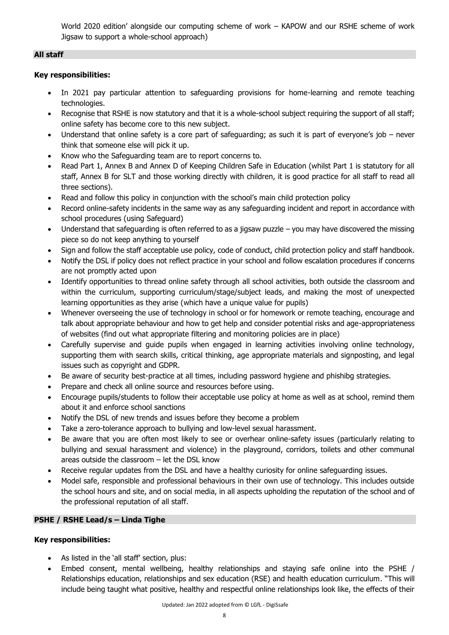World 2020 edition' alongside our computing scheme of work – KAPOW and our RSHE scheme of work Jigsaw to support a whole-school approach)

# <span id="page-7-0"></span>**All staff**

# **Key responsibilities:**

- In 2021 pay particular attention to safeguarding provisions for home-learning and remote teaching technologies.
- Recognise that RSHE is now statutory and that it is a whole-school subject requiring the support of all staff; online safety has become core to this new subject.
- Understand that online safety is a core part of safeguarding; as such it is part of everyone's job never think that someone else will pick it up.
- Know who the Safeguarding team are to report concerns to.
- Read Part 1, Annex B and Annex D of Keeping Children Safe in Education (whilst Part 1 is statutory for all staff, Annex B for SLT and those working directly with children, it is good practice for all staff to read all three sections).
- Read and follow this policy in conjunction with the school's main child protection policy
- Record online-safety incidents in the same way as any safeguarding incident and report in accordance with school procedures (using Safeguard)
- Understand that safeguarding is often referred to as a jigsaw puzzle  $-$  you may have discovered the missing piece so do not keep anything to yourself
- Sign and follow the staff acceptable use policy, code of conduct, child protection policy and staff handbook.
- Notify the DSL if policy does not reflect practice in your school and follow escalation procedures if concerns are not promptly acted upon
- Identify opportunities to thread online safety through all school activities, both outside the classroom and within the curriculum, supporting curriculum/stage/subject leads, and making the most of unexpected learning opportunities as they arise (which have a unique value for pupils)
- Whenever overseeing the use of technology in school or for homework or remote teaching, encourage and talk about appropriate behaviour and how to get help and consider potential risks and age-appropriateness of websites (find out what appropriate filtering and monitoring policies are in place)
- Carefully supervise and guide pupils when engaged in learning activities involving online technology, supporting them with search skills, critical thinking, age appropriate materials and signposting, and legal issues such as copyright and GDPR.
- Be aware of security best-practice at all times, including password hygiene and phishibg strategies.
- Prepare and check all online source and resources before using.
- Encourage pupils/students to follow their acceptable use policy at home as well as at school, remind them about it and enforce school sanctions
- Notify the DSL of new trends and issues before they become a problem
- Take a zero-tolerance approach to bullying and low-level sexual harassment.
- Be aware that you are often most likely to see or overhear online-safety issues (particularly relating to bullying and sexual harassment and violence) in the playground, corridors, toilets and other communal areas outside the classroom – let the DSL know
- Receive regular updates from the DSL and have a healthy curiosity for online safeguarding issues.
- Model safe, responsible and professional behaviours in their own use of technology. This includes outside the school hours and site, and on social media, in all aspects upholding the reputation of the school and of the professional reputation of all staff.

# <span id="page-7-1"></span>**PSHE / RSHE Lead/s – Linda Tighe**

- As listed in the 'all staff' section, plus:
- Embed consent, mental wellbeing, healthy relationships and staying safe online into the PSHE / Relationships education, relationships and sex education (RSE) and health education curriculum. "This will include being taught what positive, healthy and respectful online relationships look like, the effects of their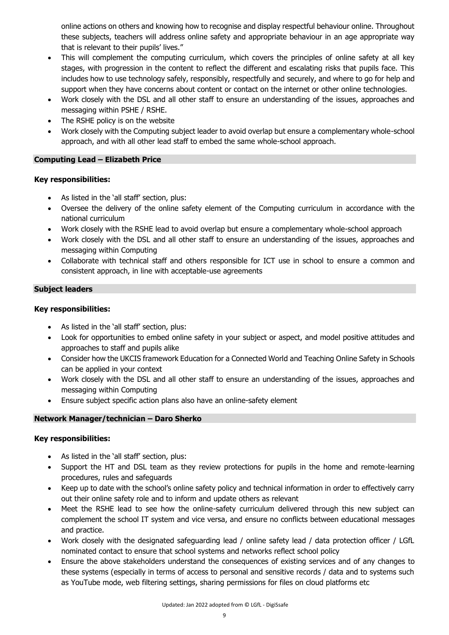online actions on others and knowing how to recognise and display respectful behaviour online. Throughout these subjects, teachers will address online safety and appropriate behaviour in an age appropriate way that is relevant to their pupils' lives."

- This will complement the computing curriculum, which covers the principles of online safety at all key stages, with progression in the content to reflect the different and escalating risks that pupils face. This includes how to use technology safely, responsibly, respectfully and securely, and where to go for help and support when they have concerns about content or contact on the internet or other online technologies.
- Work closely with the DSL and all other staff to ensure an understanding of the issues, approaches and messaging within PSHE / RSHE.
- The RSHE policy is on the website
- Work closely with the Computing subject leader to avoid overlap but ensure a complementary whole-school approach, and with all other lead staff to embed the same whole-school approach.

# <span id="page-8-0"></span>**Computing Lead – Elizabeth Price**

## **Key responsibilities:**

- As listed in the 'all staff' section, plus:
- Oversee the delivery of the online safety element of the Computing curriculum in accordance with the national curriculum
- Work closely with the RSHE lead to avoid overlap but ensure a complementary whole-school approach
- Work closely with the DSL and all other staff to ensure an understanding of the issues, approaches and messaging within Computing
- Collaborate with technical staff and others responsible for ICT use in school to ensure a common and consistent approach, in line with acceptable-use agreements

## <span id="page-8-1"></span>**Subject leaders**

## **Key responsibilities:**

- As listed in the 'all staff' section, plus:
- Look for opportunities to embed online safety in your subject or aspect, and model positive attitudes and approaches to staff and pupils alike
- Consider how the UKCIS framework Education for a Connected World and Teaching Online Safety in Schools can be applied in your context
- Work closely with the DSL and all other staff to ensure an understanding of the issues, approaches and messaging within Computing
- Ensure subject specific action plans also have an online-safety element

# <span id="page-8-2"></span>**Network Manager/technician – Daro Sherko**

- As listed in the 'all staff' section, plus:
- Support the HT and DSL team as they review protections for pupils in the home and remote-learning procedures, rules and safeguards
- Keep up to date with the school's online safety policy and technical information in order to effectively carry out their online safety role and to inform and update others as relevant
- Meet the RSHE lead to see how the online-safety curriculum delivered through this new subject can complement the school IT system and vice versa, and ensure no conflicts between educational messages and practice.
- Work closely with the designated safeguarding lead / online safety lead / data protection officer / LGfL nominated contact to ensure that school systems and networks reflect school policy
- Ensure the above stakeholders understand the consequences of existing services and of any changes to these systems (especially in terms of access to personal and sensitive records / data and to systems such as YouTube mode, web filtering settings, sharing permissions for files on cloud platforms etc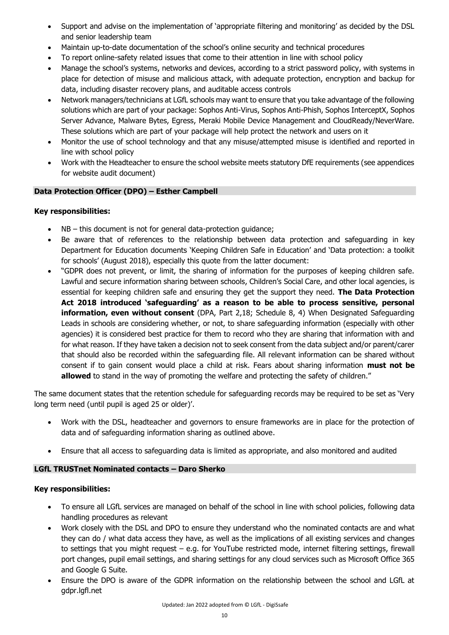- Support and advise on the implementation of 'appropriate filtering and monitoring' as decided by the DSL and senior leadership team
- Maintain up-to-date documentation of the school's online security and technical procedures
- To report online-safety related issues that come to their attention in line with school policy
- Manage the school's systems, networks and devices, according to a strict password policy, with systems in place for detection of misuse and malicious attack, with adequate protection, encryption and backup for data, including disaster recovery plans, and auditable access controls
- Network managers/technicians at LGfL schools may want to ensure that you take advantage of the following solutions which are part of your package: Sophos Anti-Virus, Sophos Anti-Phish, Sophos InterceptX, Sophos Server Advance, Malware Bytes, Egress, Meraki Mobile Device Management and CloudReady/NeverWare. These solutions which are part of your package will help protect the network and users on it
- Monitor the use of school technology and that any misuse/attempted misuse is identified and reported in line with school policy
- Work with the Headteacher to ensure the school website meets statutory DfE requirements (see appendices for website audit document)

# <span id="page-9-0"></span>**Data Protection Officer (DPO) – Esther Campbell**

# **Key responsibilities:**

- NB this document is not for general data-protection guidance;
- Be aware that of references to the relationship between data protection and safeguarding in key Department for Education documents 'Keeping Children Safe in Education' and 'Data protection: a toolkit for schools' (August 2018), especially this quote from the latter document:
- "GDPR does not prevent, or limit, the sharing of information for the purposes of keeping children safe. Lawful and secure information sharing between schools, Children's Social Care, and other local agencies, is essential for keeping children safe and ensuring they get the support they need. **The Data Protection Act 2018 introduced 'safeguarding' as a reason to be able to process sensitive, personal information, even without consent** (DPA, Part 2,18; Schedule 8, 4) When Designated Safeguarding Leads in schools are considering whether, or not, to share safeguarding information (especially with other agencies) it is considered best practice for them to record who they are sharing that information with and for what reason. If they have taken a decision not to seek consent from the data subject and/or parent/carer that should also be recorded within the safeguarding file. All relevant information can be shared without consent if to gain consent would place a child at risk. Fears about sharing information **must not be allowed** to stand in the way of promoting the welfare and protecting the safety of children."

The same document states that the retention schedule for safeguarding records may be required to be set as 'Very long term need (until pupil is aged 25 or older)'.

- Work with the DSL, headteacher and governors to ensure frameworks are in place for the protection of data and of safeguarding information sharing as outlined above.
- Ensure that all access to safeguarding data is limited as appropriate, and also monitored and audited

# <span id="page-9-1"></span>**LGfL TRUSTnet Nominated contacts – Daro Sherko**

- To ensure all LGfL services are managed on behalf of the school in line with school policies, following data handling procedures as relevant
- Work closely with the DSL and DPO to ensure they understand who the nominated contacts are and what they can do / what data access they have, as well as the implications of all existing services and changes to settings that you might request – e.g. for YouTube restricted mode, internet filtering settings, firewall port changes, pupil email settings, and sharing settings for any cloud services such as Microsoft Office 365 and Google G Suite.
- Ensure the DPO is aware of the GDPR information on the relationship between the school and LGfL at gdpr.lgfl.net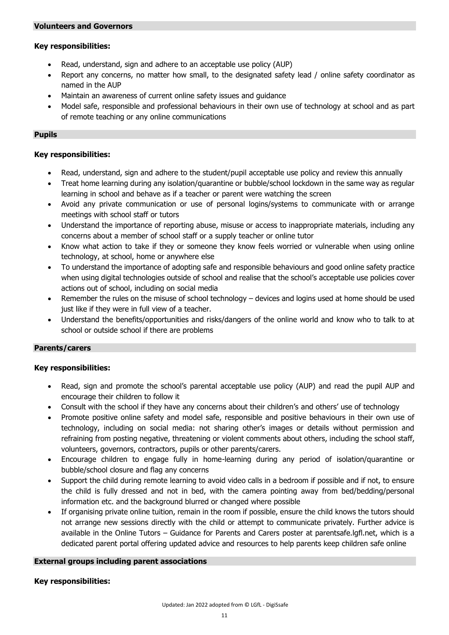## <span id="page-10-0"></span>**Key responsibilities:**

- Read, understand, sign and adhere to an acceptable use policy (AUP)
- Report any concerns, no matter how small, to the designated safety lead / online safety coordinator as named in the AUP
- Maintain an awareness of current online safety issues and guidance
- Model safe, responsible and professional behaviours in their own use of technology at school and as part of remote teaching or any online communications

## <span id="page-10-1"></span>**Pupils**

## **Key responsibilities:**

- Read, understand, sign and adhere to the student/pupil acceptable use policy and review this annually
- Treat home learning during any isolation/quarantine or bubble/school lockdown in the same way as regular learning in school and behave as if a teacher or parent were watching the screen
- Avoid any private communication or use of personal logins/systems to communicate with or arrange meetings with school staff or tutors
- Understand the importance of reporting abuse, misuse or access to inappropriate materials, including any concerns about a member of school staff or a supply teacher or online tutor
- Know what action to take if they or someone they know feels worried or vulnerable when using online technology, at school, home or anywhere else
- To understand the importance of adopting safe and responsible behaviours and good online safety practice when using digital technologies outside of school and realise that the school's acceptable use policies cover actions out of school, including on social media
- Remember the rules on the misuse of school technology devices and logins used at home should be used just like if they were in full view of a teacher.
- Understand the benefits/opportunities and risks/dangers of the online world and know who to talk to at school or outside school if there are problems

## <span id="page-10-2"></span>**Parents/carers**

## **Key responsibilities:**

- Read, sign and promote the school's parental acceptable use policy (AUP) and read the pupil AUP and encourage their children to follow it
- Consult with the school if they have any concerns about their children's and others' use of technology
- Promote positive online safety and model safe, responsible and positive behaviours in their own use of technology, including on social media: not sharing other's images or details without permission and refraining from posting negative, threatening or violent comments about others, including the school staff, volunteers, governors, contractors, pupils or other parents/carers.
- Encourage children to engage fully in home-learning during any period of isolation/quarantine or bubble/school closure and flag any concerns
- Support the child during remote learning to avoid video calls in a bedroom if possible and if not, to ensure the child is fully dressed and not in bed, with the camera pointing away from bed/bedding/personal information etc. and the background blurred or changed where possible
- If organising private online tuition, remain in the room if possible, ensure the child knows the tutors should not arrange new sessions directly with the child or attempt to communicate privately. Further advice is available in the Online Tutors – Guidance for Parents and Carers poster at parentsafe.lgfl.net, which is a dedicated parent portal offering updated advice and resources to help parents keep children safe online

## **External groups including parent associations**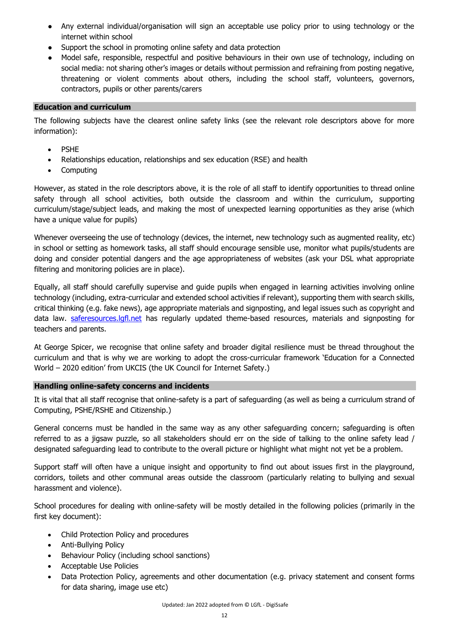- Any external individual/organisation will sign an acceptable use policy prior to using technology or the internet within school
- Support the school in promoting online safety and data protection
- Model safe, responsible, respectful and positive behaviours in their own use of technology, including on social media: not sharing other's images or details without permission and refraining from posting negative, threatening or violent comments about others, including the school staff, volunteers, governors, contractors, pupils or other parents/carers

## <span id="page-11-0"></span>**Education and curriculum**

The following subjects have the clearest online safety links (see the relevant role descriptors above for more information):

- PSHE
- Relationships education, relationships and sex education (RSE) and health
- Computing

However, as stated in the role descriptors above, it is the role of all staff to identify opportunities to thread online safety through all school activities, both outside the classroom and within the curriculum, supporting curriculum/stage/subject leads, and making the most of unexpected learning opportunities as they arise (which have a unique value for pupils)

Whenever overseeing the use of technology (devices, the internet, new technology such as augmented reality, etc) in school or setting as homework tasks, all staff should encourage sensible use, monitor what pupils/students are doing and consider potential dangers and the age appropriateness of websites (ask your DSL what appropriate filtering and monitoring policies are in place).

Equally, all staff should carefully supervise and guide pupils when engaged in learning activities involving online technology (including, extra-curricular and extended school activities if relevant), supporting them with search skills, critical thinking (e.g. fake news), age appropriate materials and signposting, and legal issues such as copyright and data law. [saferesources.lgfl.net](https://saferesources.lgfl.net/) has regularly updated theme-based resources, materials and signposting for teachers and parents.

At George Spicer, we recognise that online safety and broader digital resilience must be thread throughout the curriculum and that is why we are working to adopt the cross-curricular framework 'Education for a Connected World – 2020 edition' from UKCIS (the UK Council for Internet Safety.)

## <span id="page-11-1"></span>**Handling online-safety concerns and incidents**

It is vital that all staff recognise that online-safety is a part of safeguarding (as well as being a curriculum strand of Computing, PSHE/RSHE and Citizenship.)

General concerns must be handled in the same way as any other safeguarding concern; safeguarding is often referred to as a jigsaw puzzle, so all stakeholders should err on the side of talking to the online safety lead / designated safeguarding lead to contribute to the overall picture or highlight what might not yet be a problem.

Support staff will often have a unique insight and opportunity to find out about issues first in the playground, corridors, toilets and other communal areas outside the classroom (particularly relating to bullying and sexual harassment and violence).

School procedures for dealing with online-safety will be mostly detailed in the following policies (primarily in the first key document):

- Child Protection Policy and procedures
- Anti-Bullying Policy
- Behaviour Policy (including school sanctions)
- Acceptable Use Policies
- Data Protection Policy, agreements and other documentation (e.g. privacy statement and consent forms for data sharing, image use etc)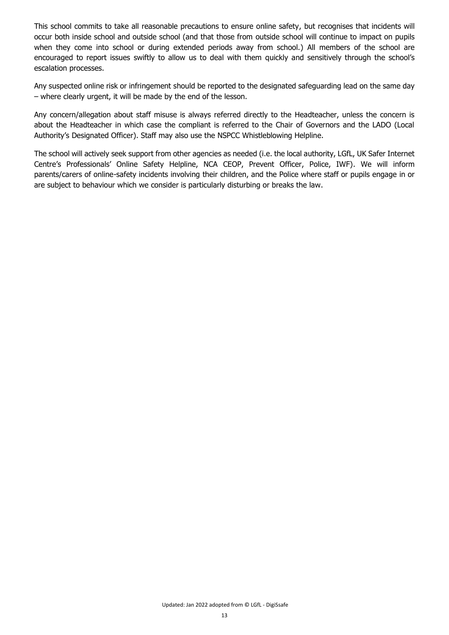This school commits to take all reasonable precautions to ensure online safety, but recognises that incidents will occur both inside school and outside school (and that those from outside school will continue to impact on pupils when they come into school or during extended periods away from school.) All members of the school are encouraged to report issues swiftly to allow us to deal with them quickly and sensitively through the school's escalation processes.

Any suspected online risk or infringement should be reported to the designated safeguarding lead on the same day – where clearly urgent, it will be made by the end of the lesson.

Any concern/allegation about staff misuse is always referred directly to the Headteacher, unless the concern is about the Headteacher in which case the compliant is referred to the Chair of Governors and the LADO (Local Authority's Designated Officer). Staff may also use the NSPCC Whistleblowing Helpline.

The school will actively seek support from other agencies as needed (i.e. the local authority, LGfL, UK Safer Internet Centre's Professionals' Online Safety Helpline, NCA CEOP, Prevent Officer, Police, IWF). We will inform parents/carers of online-safety incidents involving their children, and the Police where staff or pupils engage in or are subject to behaviour which we consider is particularly disturbing or breaks the law.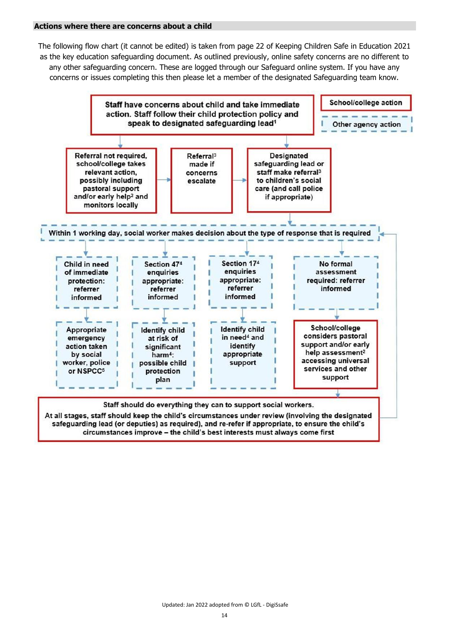#### <span id="page-13-0"></span>**Actions where there are concerns about a child**

The following flow chart (it cannot be edited) is taken from page 22 of Keeping Children Safe in Education 2021 as the key education safeguarding document. As outlined previously, online safety concerns are no different to any other safeguarding concern. These are logged through our Safeguard online system. If you have any concerns or issues completing this then please let a member of the designated Safeguarding team know.



circumstances improve - the child's best interests must always come first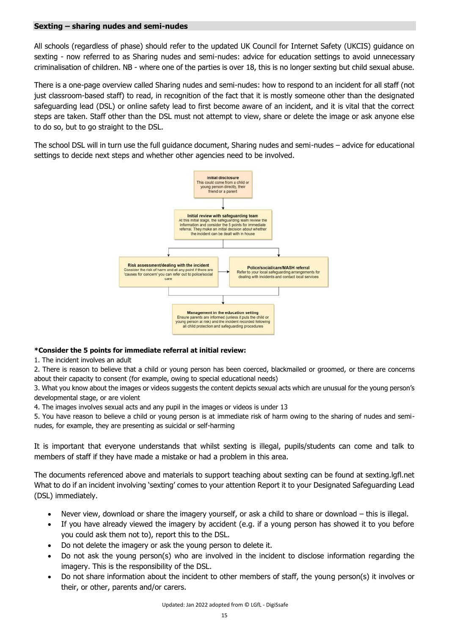#### <span id="page-14-0"></span>**Sexting – sharing nudes and semi-nudes**

All schools (regardless of phase) should refer to the updated UK Council for Internet Safety (UKCIS) guidance on sexting - now referred to as Sharing nudes and semi-nudes: advice for education settings to avoid unnecessary criminalisation of children. NB - where one of the parties is over 18, this is no longer sexting but child sexual abuse.

There is a one-page overview called Sharing nudes and semi-nudes: how to respond to an incident for all staff (not just classroom-based staff) to read, in recognition of the fact that it is mostly someone other than the designated safeguarding lead (DSL) or online safety lead to first become aware of an incident, and it is vital that the correct steps are taken. Staff other than the DSL must not attempt to view, share or delete the image or ask anyone else to do so, but to go straight to the DSL.

The school DSL will in turn use the full guidance document, Sharing nudes and semi-nudes – advice for educational settings to decide next steps and whether other agencies need to be involved.



## **\*Consider the 5 points for immediate referral at initial review:**

1. The incident involves an adult

2. There is reason to believe that a child or young person has been coerced, blackmailed or groomed, or there are concerns about their capacity to consent (for example, owing to special educational needs)

3. What you know about the images or videos suggests the content depicts sexual acts which are unusual for the young person's developmental stage, or are violent

4. The images involves sexual acts and any pupil in the images or videos is under 13

5. You have reason to believe a child or young person is at immediate risk of harm owing to the sharing of nudes and seminudes, for example, they are presenting as suicidal or self-harming

It is important that everyone understands that whilst sexting is illegal, pupils/students can come and talk to members of staff if they have made a mistake or had a problem in this area.

The documents referenced above and materials to support teaching about sexting can be found at sexting.lgfl.net What to do if an incident involving 'sexting' comes to your attention Report it to your Designated Safeguarding Lead (DSL) immediately.

- Never view, download or share the imagery yourself, or ask a child to share or download this is illegal.
- If you have already viewed the imagery by accident (e.g. if a young person has showed it to you before you could ask them not to), report this to the DSL.
- Do not delete the imagery or ask the young person to delete it.
- Do not ask the young person(s) who are involved in the incident to disclose information regarding the imagery. This is the responsibility of the DSL.
- Do not share information about the incident to other members of staff, the young person(s) it involves or their, or other, parents and/or carers.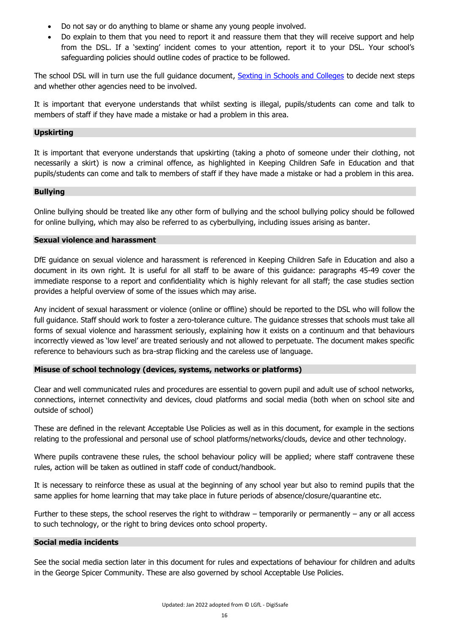- Do not say or do anything to blame or shame any young people involved.
- Do explain to them that you need to report it and reassure them that they will receive support and help from the DSL. If a 'sexting' incident comes to your attention, report it to your DSL. Your school's safeguarding policies should outline codes of practice to be followed.

The school DSL will in turn use the full guidance document, [Sexting in Schools and Colleges](https://assets.publishing.service.gov.uk/government/uploads/system/uploads/attachment_data/file/759007/6_2939_SP_NCA_Sexting_In_Schools_FINAL_Update_Jan17.pdf?_ga=2.234231390.111664464.1566901980-1789411468.1557215460) to decide next steps and whether other agencies need to be involved.

It is important that everyone understands that whilst sexting is illegal, pupils/students can come and talk to members of staff if they have made a mistake or had a problem in this area.

### <span id="page-15-0"></span>**Upskirting**

It is important that everyone understands that upskirting (taking a photo of someone under their clothing, not necessarily a skirt) is now a criminal offence, as highlighted in Keeping Children Safe in Education and that pupils/students can come and talk to members of staff if they have made a mistake or had a problem in this area.

### <span id="page-15-1"></span>**Bullying**

Online bullying should be treated like any other form of bullying and the school bullying policy should be followed for online bullying, which may also be referred to as cyberbullying, including issues arising as banter.

### <span id="page-15-2"></span>**Sexual violence and harassment**

DfE guidance on sexual violence and harassment is referenced in Keeping Children Safe in Education and also a document in its own right. It is useful for all staff to be aware of this guidance: paragraphs 45-49 cover the immediate response to a report and confidentiality which is highly relevant for all staff; the case studies section provides a helpful overview of some of the issues which may arise.

Any incident of sexual harassment or violence (online or offline) should be reported to the DSL who will follow the full guidance. Staff should work to foster a zero-tolerance culture. The guidance stresses that schools must take all forms of sexual violence and harassment seriously, explaining how it exists on a continuum and that behaviours incorrectly viewed as 'low level' are treated seriously and not allowed to perpetuate. The document makes specific reference to behaviours such as bra-strap flicking and the careless use of language.

## <span id="page-15-3"></span>**Misuse of school technology (devices, systems, networks or platforms)**

Clear and well communicated rules and procedures are essential to govern pupil and adult use of school networks, connections, internet connectivity and devices, cloud platforms and social media (both when on school site and outside of school)

These are defined in the relevant Acceptable Use Policies as well as in this document, for example in the sections relating to the professional and personal use of school platforms/networks/clouds, device and other technology.

Where pupils contravene these rules, the school behaviour policy will be applied; where staff contravene these rules, action will be taken as outlined in staff code of conduct/handbook.

It is necessary to reinforce these as usual at the beginning of any school year but also to remind pupils that the same applies for home learning that may take place in future periods of absence/closure/quarantine etc.

Further to these steps, the school reserves the right to withdraw  $-$  temporarily or permanently  $-$  any or all access to such technology, or the right to bring devices onto school property.

#### <span id="page-15-4"></span>**Social media incidents**

See the social media section later in this document for rules and expectations of behaviour for children and adults in the George Spicer Community. These are also governed by school Acceptable Use Policies.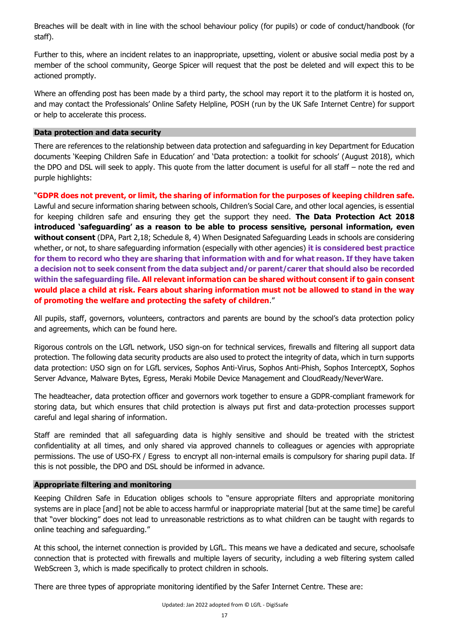Breaches will be dealt with in line with the school behaviour policy (for pupils) or code of conduct/handbook (for staff).

Further to this, where an incident relates to an inappropriate, upsetting, violent or abusive social media post by a member of the school community, George Spicer will request that the post be deleted and will expect this to be actioned promptly.

Where an offending post has been made by a third party, the school may report it to the platform it is hosted on, and may contact the Professionals' Online Safety Helpline, POSH (run by the UK Safe Internet Centre) for support or help to accelerate this process.

### <span id="page-16-0"></span>**Data protection and data security**

There are references to the relationship between data protection and safeguarding in key Department for Education documents 'Keeping Children Safe in Education' and 'Data protection: a toolkit for schools' (August 2018), which the DPO and DSL will seek to apply. This quote from the latter document is useful for all staff – note the red and purple highlights:

"**GDPR does not prevent, or limit, the sharing of information for the purposes of keeping children safe.** Lawful and secure information sharing between schools, Children's Social Care, and other local agencies, is essential for keeping children safe and ensuring they get the support they need. **The Data Protection Act 2018 introduced 'safeguarding' as a reason to be able to process sensitive, personal information, even without consent** (DPA, Part 2,18; Schedule 8, 4) When Designated Safeguarding Leads in schools are considering whether, or not, to share safeguarding information (especially with other agencies) **it is considered best practice for them to record who they are sharing that information with and for what reason. If they have taken a decision not to seek consent from the data subject and/or parent/carer that should also be recorded within the safeguarding file. All relevant information can be shared without consent if to gain consent would place a child at risk. Fears about sharing information must not be allowed to stand in the way of promoting the welfare and protecting the safety of children**."

All pupils, staff, governors, volunteers, contractors and parents are bound by the school's data protection policy and agreements, which can be found here.

Rigorous controls on the LGfL network, USO sign-on for technical services, firewalls and filtering all support data protection. The following data security products are also used to protect the integrity of data, which in turn supports data protection: USO sign on for LGfL services, Sophos Anti-Virus, Sophos Anti-Phish, Sophos InterceptX, Sophos Server Advance, Malware Bytes, Egress, Meraki Mobile Device Management and CloudReady/NeverWare.

The headteacher, data protection officer and governors work together to ensure a GDPR-compliant framework for storing data, but which ensures that child protection is always put first and data-protection processes support careful and legal sharing of information.

Staff are reminded that all safeguarding data is highly sensitive and should be treated with the strictest confidentiality at all times, and only shared via approved channels to colleagues or agencies with appropriate permissions. The use of USO-FX / Egress to encrypt all non-internal emails is compulsory for sharing pupil data. If this is not possible, the DPO and DSL should be informed in advance.

## <span id="page-16-1"></span>**Appropriate filtering and monitoring**

Keeping Children Safe in Education obliges schools to "ensure appropriate filters and appropriate monitoring systems are in place [and] not be able to access harmful or inappropriate material [but at the same time] be careful that "over blocking" does not lead to unreasonable restrictions as to what children can be taught with regards to online teaching and safeguarding."

At this school, the internet connection is provided by LGfL. This means we have a dedicated and secure, schoolsafe connection that is protected with firewalls and multiple layers of security, including a web filtering system called WebScreen 3, which is made specifically to protect children in schools.

There are three types of appropriate monitoring identified by the Safer Internet Centre. These are: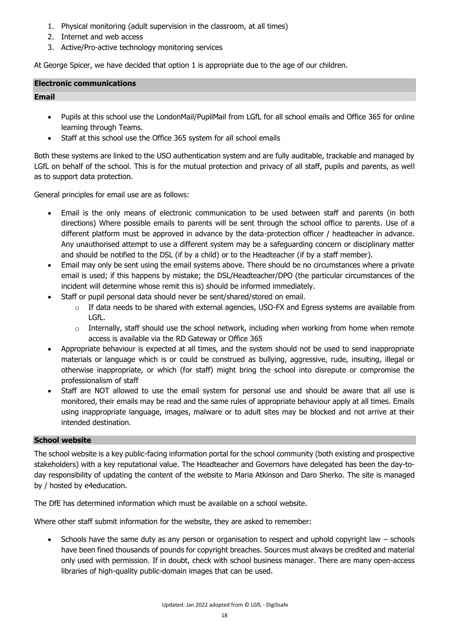- 1. Physical monitoring (adult supervision in the classroom, at all times)
- 2. Internet and web access
- 3. Active/Pro-active technology monitoring services

At George Spicer, we have decided that option 1 is appropriate due to the age of our children.

## <span id="page-17-0"></span>**Electronic communications**

### <span id="page-17-1"></span>**Email**

- Pupils at this school use the LondonMail/PupilMail from LGfL for all school emails and Office 365 for online learning through Teams.
- Staff at this school use the Office 365 system for all school emails

Both these systems are linked to the USO authentication system and are fully auditable, trackable and managed by LGfL on behalf of the school. This is for the mutual protection and privacy of all staff, pupils and parents, as well as to support data protection.

General principles for email use are as follows:

- Email is the only means of electronic communication to be used between staff and parents (in both directions) Where possible emails to parents will be sent through the school office to parents. Use of a different platform must be approved in advance by the data-protection officer / headteacher in advance. Any unauthorised attempt to use a different system may be a safeguarding concern or disciplinary matter and should be notified to the DSL (if by a child) or to the Headteacher (if by a staff member).
- Email may only be sent using the email systems above. There should be no circumstances where a private email is used; if this happens by mistake; the DSL/Headteacher/DPO (the particular circumstances of the incident will determine whose remit this is) should be informed immediately.
- Staff or pupil personal data should never be sent/shared/stored on email.
	- $\circ$  If data needs to be shared with external agencies, USO-FX and Egress systems are available from LGfL.
	- $\circ$  Internally, staff should use the school network, including when working from home when remote access is available via the RD Gateway or Office 365
- Appropriate behaviour is expected at all times, and the system should not be used to send inappropriate materials or language which is or could be construed as bullying, aggressive, rude, insulting, illegal or otherwise inappropriate, or which (for staff) might bring the school into disrepute or compromise the professionalism of staff
- Staff are NOT allowed to use the email system for personal use and should be aware that all use is monitored, their emails may be read and the same rules of appropriate behaviour apply at all times. Emails using inappropriate language, images, malware or to adult sites may be blocked and not arrive at their intended destination.

## <span id="page-17-2"></span>**School website**

The school website is a key public-facing information portal for the school community (both existing and prospective stakeholders) with a key reputational value. The Headteacher and Governors have delegated has been the day-today responsibility of updating the content of the website to Maria Atkinson and Daro Sherko. The site is managed by / hosted by e4education.

The DfE has determined information which must be available on a school website.

Where other staff submit information for the website, they are asked to remember:

 Schools have the same duty as any person or organisation to respect and uphold copyright law – schools have been fined thousands of pounds for copyright breaches. Sources must always be credited and material only used with permission. If in doubt, check with school business manager. There are many open-access libraries of high-quality public-domain images that can be used.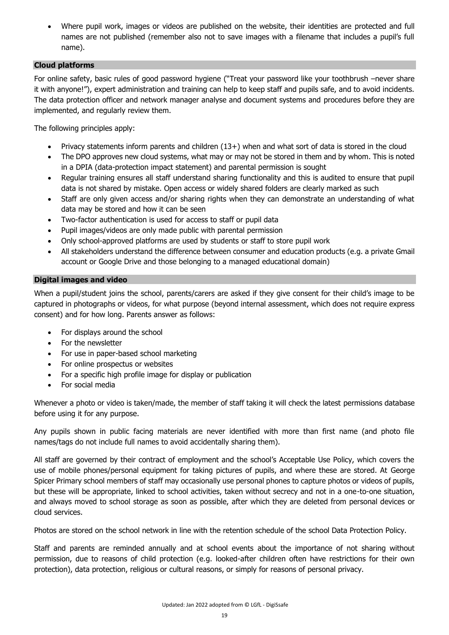Where pupil work, images or videos are published on the website, their identities are protected and full names are not published (remember also not to save images with a filename that includes a pupil's full name).

# <span id="page-18-0"></span>**Cloud platforms**

For online safety, basic rules of good password hygiene ("Treat your password like your toothbrush –never share it with anyone!"), expert administration and training can help to keep staff and pupils safe, and to avoid incidents. The data protection officer and network manager analyse and document systems and procedures before they are implemented, and regularly review them.

The following principles apply:

- Privacy statements inform parents and children (13+) when and what sort of data is stored in the cloud
- The DPO approves new cloud systems, what may or may not be stored in them and by whom. This is noted in a DPIA (data-protection impact statement) and parental permission is sought
- Regular training ensures all staff understand sharing functionality and this is audited to ensure that pupil data is not shared by mistake. Open access or widely shared folders are clearly marked as such
- Staff are only given access and/or sharing rights when they can demonstrate an understanding of what data may be stored and how it can be seen
- Two-factor authentication is used for access to staff or pupil data
- Pupil images/videos are only made public with parental permission
- Only school-approved platforms are used by students or staff to store pupil work
- All stakeholders understand the difference between consumer and education products (e.g. a private Gmail account or Google Drive and those belonging to a managed educational domain)

## <span id="page-18-1"></span>**Digital images and video**

When a pupil/student joins the school, parents/carers are asked if they give consent for their child's image to be captured in photographs or videos, for what purpose (beyond internal assessment, which does not require express consent) and for how long. Parents answer as follows:

- For displays around the school
- For the newsletter
- For use in paper-based school marketing
- For online prospectus or websites
- For a specific high profile image for display or publication
- For social media

Whenever a photo or video is taken/made, the member of staff taking it will check the latest permissions database before using it for any purpose.

Any pupils shown in public facing materials are never identified with more than first name (and photo file names/tags do not include full names to avoid accidentally sharing them).

All staff are governed by their contract of employment and the school's Acceptable Use Policy, which covers the use of mobile phones/personal equipment for taking pictures of pupils, and where these are stored. At George Spicer Primary school members of staff may occasionally use personal phones to capture photos or videos of pupils, but these will be appropriate, linked to school activities, taken without secrecy and not in a one-to-one situation, and always moved to school storage as soon as possible, after which they are deleted from personal devices or cloud services.

Photos are stored on the school network in line with the retention schedule of the school Data Protection Policy.

Staff and parents are reminded annually and at school events about the importance of not sharing without permission, due to reasons of child protection (e.g. looked-after children often have restrictions for their own protection), data protection, religious or cultural reasons, or simply for reasons of personal privacy.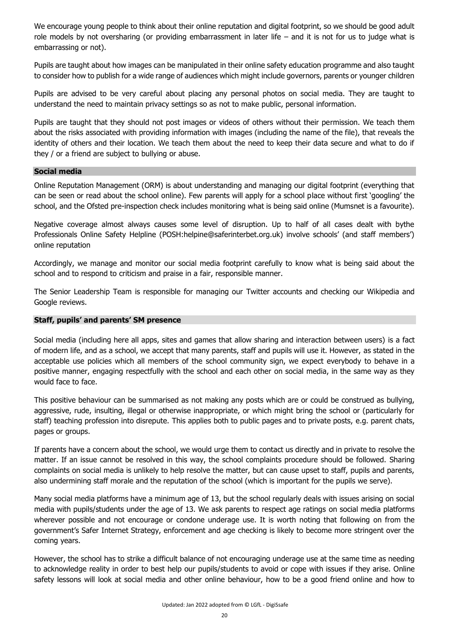We encourage young people to think about their online reputation and digital footprint, so we should be good adult role models by not oversharing (or providing embarrassment in later life – and it is not for us to judge what is embarrassing or not).

Pupils are taught about how images can be manipulated in their online safety education programme and also taught to consider how to publish for a wide range of audiences which might include governors, parents or younger children

Pupils are advised to be very careful about placing any personal photos on social media. They are taught to understand the need to maintain privacy settings so as not to make public, personal information.

Pupils are taught that they should not post images or videos of others without their permission. We teach them about the risks associated with providing information with images (including the name of the file), that reveals the identity of others and their location. We teach them about the need to keep their data secure and what to do if they / or a friend are subject to bullying or abuse.

### <span id="page-19-0"></span>**Social media**

Online Reputation Management (ORM) is about understanding and managing our digital footprint (everything that can be seen or read about the school online). Few parents will apply for a school place without first 'googling' the school, and the Ofsted pre-inspection check includes monitoring what is being said online (Mumsnet is a favourite).

Negative coverage almost always causes some level of disruption. Up to half of all cases dealt with bythe Professionals Online Safety Helpline (POSH:helpine@saferinterbet.org.uk) involve schools' (and staff members') online reputation

Accordingly, we manage and monitor our social media footprint carefully to know what is being said about the school and to respond to criticism and praise in a fair, responsible manner.

The Senior Leadership Team is responsible for managing our Twitter accounts and checking our Wikipedia and Google reviews.

### <span id="page-19-1"></span>**Staff, pupils' and parents' SM presence**

Social media (including here all apps, sites and games that allow sharing and interaction between users) is a fact of modern life, and as a school, we accept that many parents, staff and pupils will use it. However, as stated in the acceptable use policies which all members of the school community sign, we expect everybody to behave in a positive manner, engaging respectfully with the school and each other on social media, in the same way as they would face to face.

This positive behaviour can be summarised as not making any posts which are or could be construed as bullying, aggressive, rude, insulting, illegal or otherwise inappropriate, or which might bring the school or (particularly for staff) teaching profession into disrepute. This applies both to public pages and to private posts, e.g. parent chats, pages or groups.

If parents have a concern about the school, we would urge them to contact us directly and in private to resolve the matter. If an issue cannot be resolved in this way, the school complaints procedure should be followed. Sharing complaints on social media is unlikely to help resolve the matter, but can cause upset to staff, pupils and parents, also undermining staff morale and the reputation of the school (which is important for the pupils we serve).

Many social media platforms have a minimum age of 13, but the school regularly deals with issues arising on social media with pupils/students under the age of 13. We ask parents to respect age ratings on social media platforms wherever possible and not encourage or condone underage use. It is worth noting that following on from the government's Safer Internet Strategy, enforcement and age checking is likely to become more stringent over the coming years.

However, the school has to strike a difficult balance of not encouraging underage use at the same time as needing to acknowledge reality in order to best help our pupils/students to avoid or cope with issues if they arise. Online safety lessons will look at social media and other online behaviour, how to be a good friend online and how to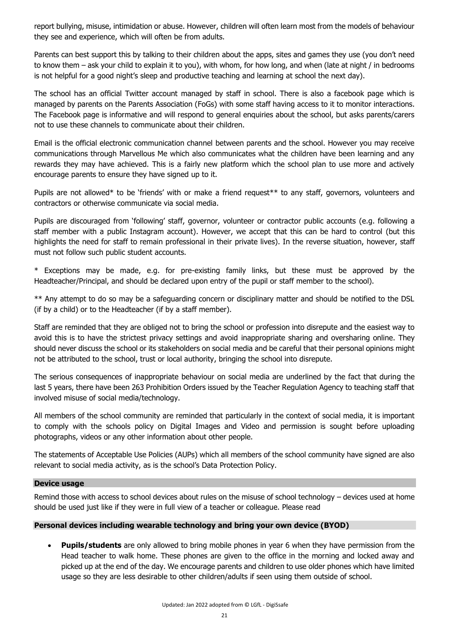report bullying, misuse, intimidation or abuse. However, children will often learn most from the models of behaviour they see and experience, which will often be from adults.

Parents can best support this by talking to their children about the apps, sites and games they use (you don't need to know them – ask your child to explain it to you), with whom, for how long, and when (late at night / in bedrooms is not helpful for a good night's sleep and productive teaching and learning at school the next day).

The school has an official Twitter account managed by staff in school. There is also a facebook page which is managed by parents on the Parents Association (FoGs) with some staff having access to it to monitor interactions. The Facebook page is informative and will respond to general enquiries about the school, but asks parents/carers not to use these channels to communicate about their children.

Email is the official electronic communication channel between parents and the school. However you may receive communications through Marvellous Me which also communicates what the children have been learning and any rewards they may have achieved. This is a fairly new platform which the school plan to use more and actively encourage parents to ensure they have signed up to it.

Pupils are not allowed\* to be 'friends' with or make a friend request\*\* to any staff, governors, volunteers and contractors or otherwise communicate via social media.

Pupils are discouraged from 'following' staff, governor, volunteer or contractor public accounts (e.g. following a staff member with a public Instagram account). However, we accept that this can be hard to control (but this highlights the need for staff to remain professional in their private lives). In the reverse situation, however, staff must not follow such public student accounts.

\* Exceptions may be made, e.g. for pre-existing family links, but these must be approved by the Headteacher/Principal, and should be declared upon entry of the pupil or staff member to the school).

\*\* Any attempt to do so may be a safeguarding concern or disciplinary matter and should be notified to the DSL (if by a child) or to the Headteacher (if by a staff member).

Staff are reminded that they are obliged not to bring the school or profession into disrepute and the easiest way to avoid this is to have the strictest privacy settings and avoid inappropriate sharing and oversharing online. They should never discuss the school or its stakeholders on social media and be careful that their personal opinions might not be attributed to the school, trust or local authority, bringing the school into disrepute.

The serious consequences of inappropriate behaviour on social media are underlined by the fact that during the last 5 years, there have been 263 Prohibition Orders issued by the Teacher Regulation Agency to teaching staff that involved misuse of social media/technology.

All members of the school community are reminded that particularly in the context of social media, it is important to comply with the schools policy on Digital Images and Video and permission is sought before uploading photographs, videos or any other information about other people.

The statements of Acceptable Use Policies (AUPs) which all members of the school community have signed are also relevant to social media activity, as is the school's Data Protection Policy.

## <span id="page-20-0"></span>**Device usage**

Remind those with access to school devices about rules on the misuse of school technology – devices used at home should be used just like if they were in full view of a teacher or colleague. Please read

## <span id="page-20-1"></span>**Personal devices including wearable technology and bring your own device (BYOD)**

 **Pupils/students** are only allowed to bring mobile phones in year 6 when they have permission from the Head teacher to walk home. These phones are given to the office in the morning and locked away and picked up at the end of the day. We encourage parents and children to use older phones which have limited usage so they are less desirable to other children/adults if seen using them outside of school.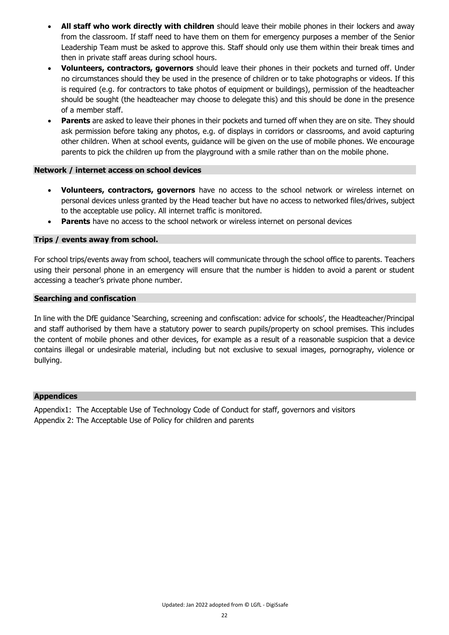- **All staff who work directly with children** should leave their mobile phones in their lockers and away from the classroom. If staff need to have them on them for emergency purposes a member of the Senior Leadership Team must be asked to approve this. Staff should only use them within their break times and then in private staff areas during school hours.
- **Volunteers, contractors, governors** should leave their phones in their pockets and turned off. Under no circumstances should they be used in the presence of children or to take photographs or videos. If this is required (e.g. for contractors to take photos of equipment or buildings), permission of the headteacher should be sought (the headteacher may choose to delegate this) and this should be done in the presence of a member staff.
- **Parents** are asked to leave their phones in their pockets and turned off when they are on site. They should ask permission before taking any photos, e.g. of displays in corridors or classrooms, and avoid capturing other children. When at school events, guidance will be given on the use of mobile phones. We encourage parents to pick the children up from the playground with a smile rather than on the mobile phone.

### <span id="page-21-0"></span>**Network / internet access on school devices**

- **Volunteers, contractors, governors** have no access to the school network or wireless internet on personal devices unless granted by the Head teacher but have no access to networked files/drives, subject to the acceptable use policy. All internet traffic is monitored.
- **Parents** have no access to the school network or wireless internet on personal devices

## <span id="page-21-1"></span>**Trips / events away from school.**

For school trips/events away from school, teachers will communicate through the school office to parents. Teachers using their personal phone in an emergency will ensure that the number is hidden to avoid a parent or student accessing a teacher's private phone number.

#### <span id="page-21-2"></span>**Searching and confiscation**

In line with the DfE guidance 'Searching, screening and confiscation: advice for schools', the Headteacher/Principal and staff authorised by them have a statutory power to search pupils/property on school premises. This includes the content of mobile phones and other devices, for example as a result of a reasonable suspicion that a device contains illegal or undesirable material, including but not exclusive to sexual images, pornography, violence or bullying.

### <span id="page-21-3"></span>**Appendices**

Appendix1: The Acceptable Use of Technology Code of Conduct for staff, governors and visitors Appendix 2: The Acceptable Use of Policy for children and parents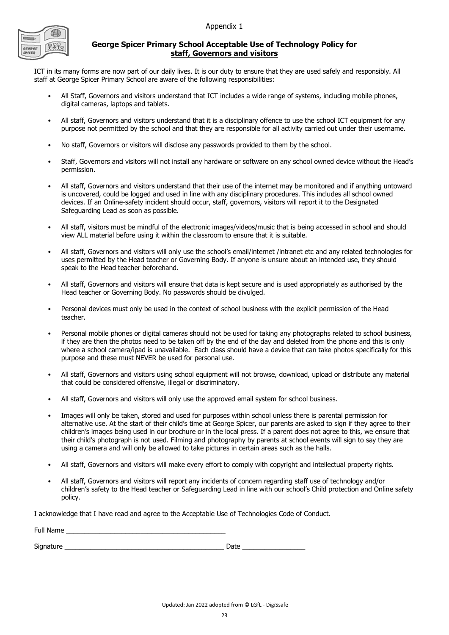Appendix 1



Full Name

## **George Spicer Primary School Acceptable Use of Technology Policy for staff, Governors and visitors**

ICT in its many forms are now part of our daily lives. It is our duty to ensure that they are used safely and responsibly. All staff at George Spicer Primary School are aware of the following responsibilities:

- All Staff, Governors and visitors understand that ICT includes a wide range of systems, including mobile phones, digital cameras, laptops and tablets.
- All staff, Governors and visitors understand that it is a disciplinary offence to use the school ICT equipment for any purpose not permitted by the school and that they are responsible for all activity carried out under their username.
- No staff, Governors or visitors will disclose any passwords provided to them by the school.
- Staff, Governors and visitors will not install any hardware or software on any school owned device without the Head's permission.
- All staff, Governors and visitors understand that their use of the internet may be monitored and if anything untoward is uncovered, could be logged and used in line with any disciplinary procedures. This includes all school owned devices. If an Online-safety incident should occur, staff, governors, visitors will report it to the Designated Safeguarding Lead as soon as possible.
- All staff, visitors must be mindful of the electronic images/videos/music that is being accessed in school and should view ALL material before using it within the classroom to ensure that it is suitable.
- All staff, Governors and visitors will only use the school's email/internet /intranet etc and any related technologies for uses permitted by the Head teacher or Governing Body. If anyone is unsure about an intended use, they should speak to the Head teacher beforehand.
- All staff, Governors and visitors will ensure that data is kept secure and is used appropriately as authorised by the Head teacher or Governing Body. No passwords should be divulged.
- Personal devices must only be used in the context of school business with the explicit permission of the Head teacher.
- Personal mobile phones or digital cameras should not be used for taking any photographs related to school business, if they are then the photos need to be taken off by the end of the day and deleted from the phone and this is only where a school camera/ipad is unavailable. Each class should have a device that can take photos specifically for this purpose and these must NEVER be used for personal use.
- All staff, Governors and visitors using school equipment will not browse, download, upload or distribute any material that could be considered offensive, illegal or discriminatory.
- All staff, Governors and visitors will only use the approved email system for school business.
- Images will only be taken, stored and used for purposes within school unless there is parental permission for alternative use. At the start of their child's time at George Spicer, our parents are asked to sign if they agree to their children's images being used in our brochure or in the local press. If a parent does not agree to this, we ensure that their child's photograph is not used. Filming and photography by parents at school events will sign to say they are using a camera and will only be allowed to take pictures in certain areas such as the halls.
- All staff, Governors and visitors will make every effort to comply with copyright and intellectual property rights.
- All staff, Governors and visitors will report any incidents of concern regarding staff use of technology and/or children's safety to the Head teacher or Safeguarding Lead in line with our school's Child protection and Online safety policy.

I acknowledge that I have read and agree to the Acceptable Use of Technologies Code of Conduct.

| Signature | Date |  |
|-----------|------|--|